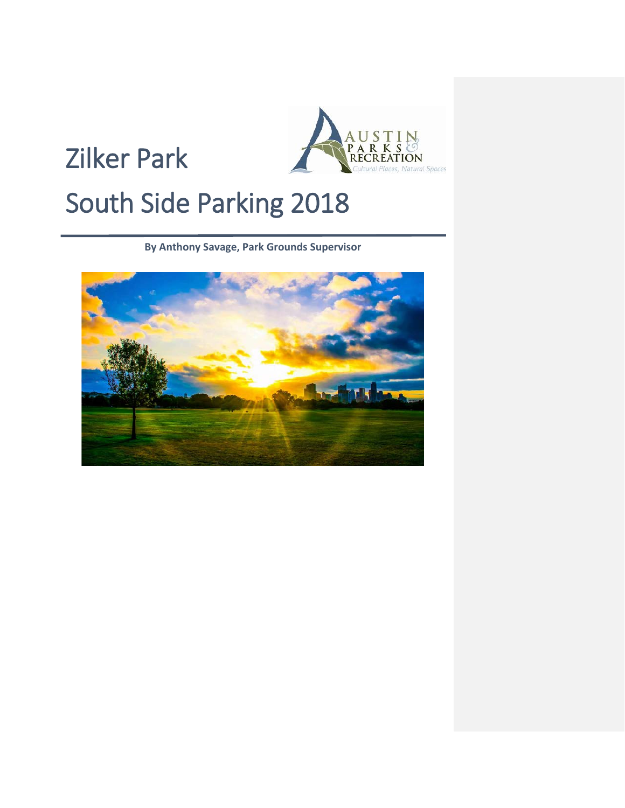



# South Side Parking 2018

**By Anthony Savage, Park Grounds Supervisor**

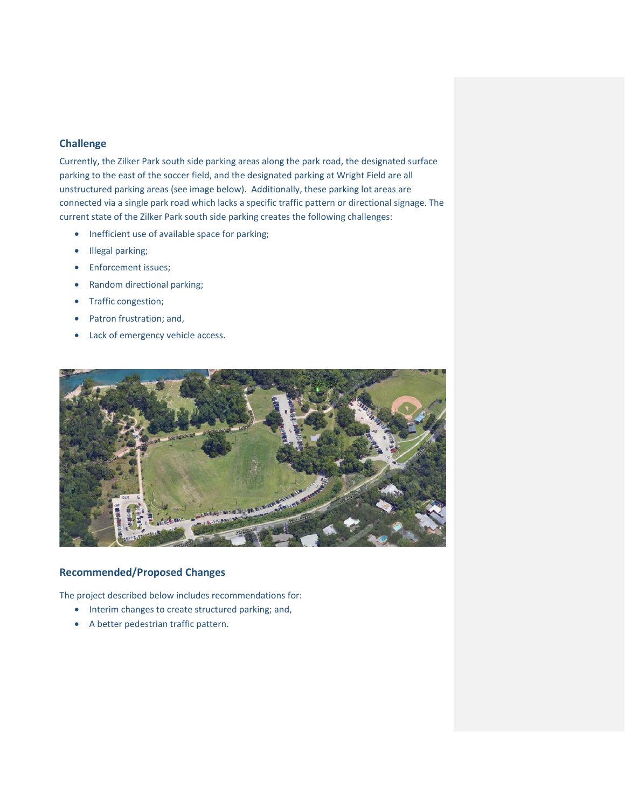### **Challenge**

Currently, the Zilker Park south side parking areas along the park road, the designated surface parking to the east of the soccer field, and the designated parking at Wright Field are all unstructured parking areas (see image below). Additionally, these parking lot areas are connected via a single park road which lacks a specific traffic pattern or directional signage. The current state of the Zilker Park south side parking creates the following challenges:

- Inefficient use of available space for parking;
- Illegal parking;
- Enforcement issues;
- Random directional parking;
- Traffic congestion;
- Patron frustration; and,
- Lack of emergency vehicle access.



## **Recommended/Proposed Changes**

The project described below includes recommendations for:

- Interim changes to create structured parking; and,
- A better pedestrian traffic pattern.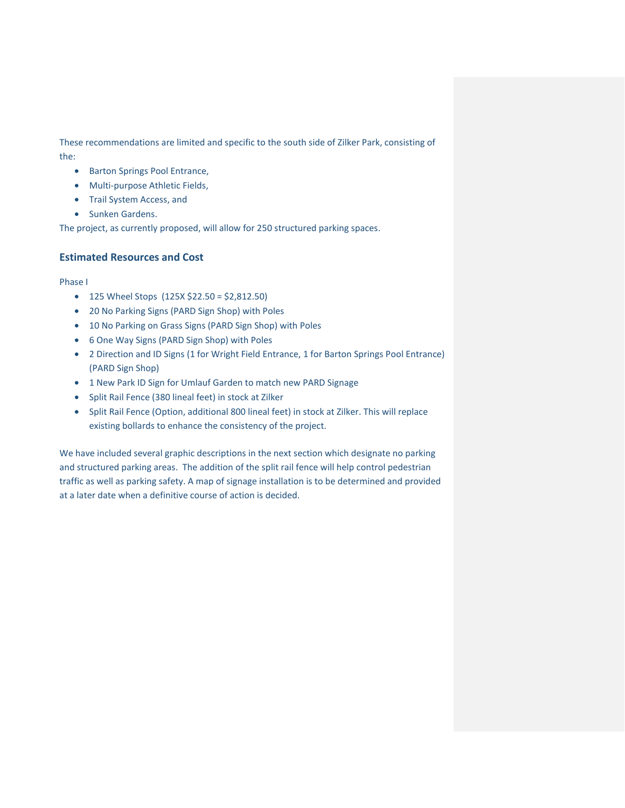These recommendations are limited and specific to the south side of Zilker Park, consisting of the:

- Barton Springs Pool Entrance,
- Multi-purpose Athletic Fields,
- Trail System Access, and
- Sunken Gardens.

The project, as currently proposed, will allow for 250 structured parking spaces.

## **Estimated Resources and Cost**

#### Phase I

- 125 Wheel Stops (125X \$22.50 = \$2,812.50)
- 20 No Parking Signs (PARD Sign Shop) with Poles
- 10 No Parking on Grass Signs (PARD Sign Shop) with Poles
- 6 One Way Signs (PARD Sign Shop) with Poles
- 2 Direction and ID Signs (1 for Wright Field Entrance, 1 for Barton Springs Pool Entrance) (PARD Sign Shop)
- 1 New Park ID Sign for Umlauf Garden to match new PARD Signage
- Split Rail Fence (380 lineal feet) in stock at Zilker
- Split Rail Fence (Option, additional 800 lineal feet) in stock at Zilker. This will replace existing bollards to enhance the consistency of the project.

We have included several graphic descriptions in the next section which designate no parking and structured parking areas. The addition of the split rail fence will help control pedestrian traffic as well as parking safety. A map of signage installation is to be determined and provided at a later date when a definitive course of action is decided.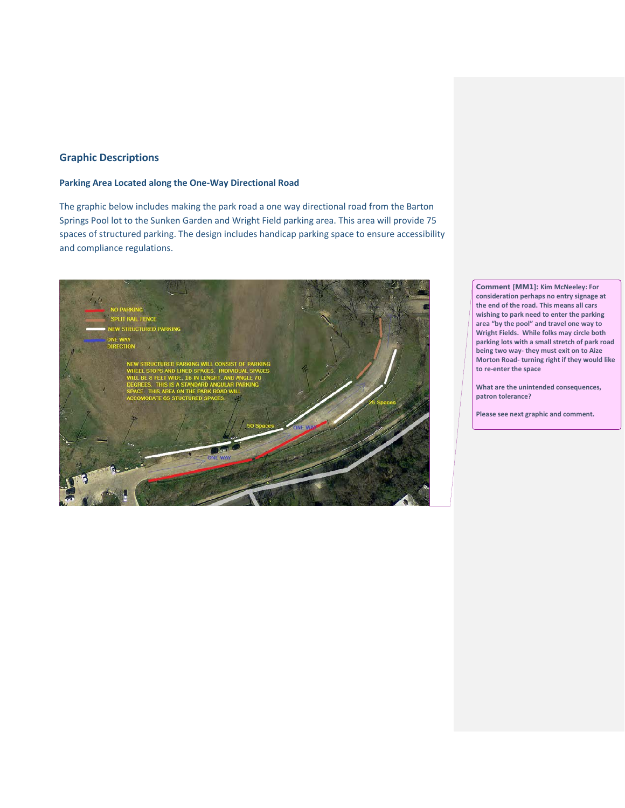# **Graphic Descriptions**

### **Parking Area Located along the One-Way Directional Road**

The graphic below includes making the park road a one way directional road from the Barton Springs Pool lot to the Sunken Garden and Wright Field parking area. This area will provide 75 spaces of structured parking. The design includes handicap parking space to ensure accessibility and compliance regulations.



**Comment [MM1]: Kim McNeeley: For consideration perhaps no entry signage at the end of the road. This means all cars wishing to park need to enter the parking area "by the pool" and travel one way to Wright Fields. While folks may circle both parking lots with a small stretch of park road being two way- they must exit on to Aize Morton Road- turning right if they would like to re-enter the space**

**What are the unintended consequences, patron tolerance?** 

**Please see next graphic and comment.**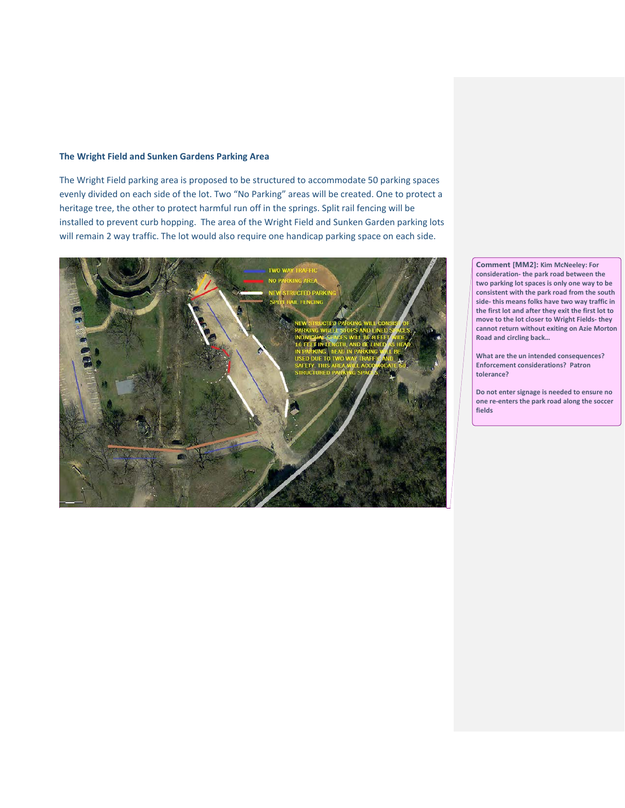#### **The Wright Field and Sunken Gardens Parking Area**

The Wright Field parking area is proposed to be structured to accommodate 50 parking spaces evenly divided on each side of the lot. Two "No Parking" areas will be created. One to protect a heritage tree, the other to protect harmful run off in the springs. Split rail fencing will be installed to prevent curb hopping. The area of the Wright Field and Sunken Garden parking lots will remain 2 way traffic. The lot would also require one handicap parking space on each side.



**Comment [MM2]: Kim McNeeley: For consideration- the park road between the two parking lot spaces is only one way to be consistent with the park road from the south side- this means folks have two way traffic in the first lot and after they exit the first lot to move to the lot closer to Wright Fields- they cannot return without exiting on Azie Morton Road and circling back…**

**What are the un intended consequences? Enforcement considerations? Patron tolerance?** 

**Do not enter signage is needed to ensure no one re-enters the park road along the soccer fields**